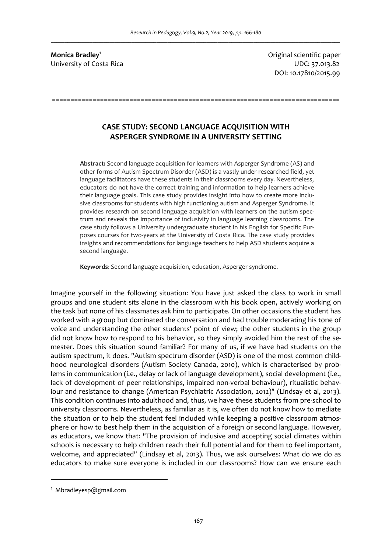**Monica Bradley<sup>1</sup>** University of Costa Rica **UDC: 37.013.82** 

Original scientific paper DOI: 10.17810/2015.99

# **CASE STUDY: SECOND LANGUAGE ACQUISITION WITH ASPERGER SYNDROME IN A UNIVERSITY SETTING**

==============================================================================

**Abstract:** Second language acquisition for learners with Asperger Syndrome (AS) and other forms of Autism Spectrum Disorder (ASD) is a vastly under-researched field, yet language facilitators have these students in their classrooms every day. Nevertheless, educators do not have the correct training and information to help learners achieve their language goals. This case study provides insight into how to create more inclusive classrooms for students with high functioning autism and Asperger Syndrome. It provides research on second language acquisition with learners on the autism spectrum and reveals the importance of inclusivity in language learning classrooms. The case study follows a University undergraduate student in his English for Specific Purposes courses for two-years at the University of Costa Rica. The case study provides insights and recommendations for language teachers to help ASD students acquire a second language.

**Keywords**: Second language acquisition, education, Asperger syndrome.

Imagine yourself in the following situation: You have just asked the class to work in small groups and one student sits alone in the classroom with his book open, actively working on the task but none of his classmates ask him to participate. On other occasions the student has worked with a group but dominated the conversation and had trouble moderating his tone of voice and understanding the other students' point of view; the other students in the group did not know how to respond to his behavior, so they simply avoided him the rest of the semester. Does this situation sound familiar? For many of us, if we have had students on the autism spectrum, it does. "Autism spectrum disorder (ASD) is one of the most common childhood neurological disorders (Autism Society Canada, 2010), which is characterised by problems in communication (i.e., delay or lack of language development), social development (i.e., lack of development of peer relationships, impaired non-verbal behaviour), ritualistic behaviour and resistance to change (American Psychiatric Association, 2012)" (Lindsay et al, 2013). This condition continues into adulthood and, thus, we have these students from pre-school to university classrooms. Nevertheless, as familiar as it is, we often do not know how to mediate the situation or to help the student feel included while keeping a positive classroom atmosphere or how to best help them in the acquisition of a foreign or second language. However, as educators, we know that: "The provision of inclusive and accepting social climates within schools is necessary to help children reach their full potential and for them to feel important, welcome, and appreciated" (Lindsay et al, 2013). Thus, we ask ourselves: What do we do as educators to make sure everyone is included in our classrooms? How can we ensure each

 $\overline{a}$ 

<sup>&</sup>lt;sup>1</sup> Mbradleyesp@gmail.com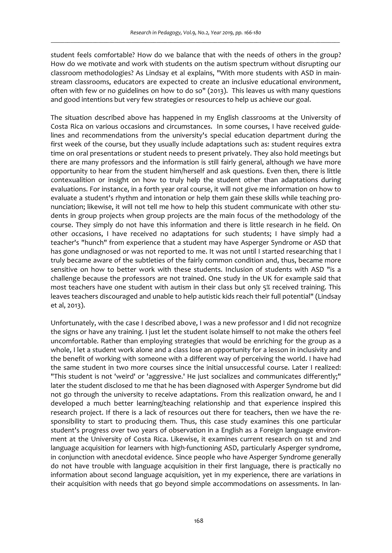student feels comfortable? How do we balance that with the needs of others in the group? How do we motivate and work with students on the autism spectrum without disrupting our classroom methodologies? As Lindsay et al explains, "With more students with ASD in mainstream classrooms, educators are expected to create an inclusive educational environment, often with few or no guidelines on how to do so" (2013). This leaves us with many questions and good intentions but very few strategies or resources to help us achieve our goal.

The situation described above has happened in my English classrooms at the University of Costa Rica on various occasions and circumstances. In some courses, I have received guidelines and recommendations from the university's special education department during the first week of the course, but they usually include adaptations such as: student requires extra time on oral presentations or student needs to present privately. They also hold meetings but there are many professors and the information is still fairly general, although we have more opportunity to hear from the student him/herself and ask questions. Even then, there is little contexualition or insight on how to truly help the student other than adaptations during evaluations. For instance, in a forth year oral course, it will not give me information on how to evaluate a student's rhythm and intonation or help them gain these skills while teaching pronunciation; likewise, it will not tell me how to help this student communicate with other students in group projects when group projects are the main focus of the methodology of the course. They simply do not have this information and there is little research in he field. On other occasions, I have received no adaptations for such students; I have simply had a teacher's "hunch" from experience that a student may have Asperger Syndrome or ASD that has gone undiagnosed or was not reported to me. It was not until I started researching that I truly became aware of the subtleties of the fairly common condition and, thus, became more sensitive on how to better work with these students. Inclusion of students with ASD "is a challenge because the professors are not trained. One study in the UK for example said that most teachers have one student with autism in their class but only 5% received training. This leaves teachers discouraged and unable to help autistic kids reach their full potential" (Lindsay et al, 2013).

Unfortunately, with the case I described above, I was a new professor and I did not recognize the signs or have any training. I just let the student isolate himself to not make the others feel uncomfortable. Rather than employing strategies that would be enriching for the group as a whole, I let a student work alone and a class lose an opportunity for a lesson in inclusivity and the benefit of working with someone with a different way of perceiving the world. I have had the same student in two more courses since the initial unsuccessful course. Later I realized: "This student is not 'weird' or 'aggressive.' He just socializes and communicates differently;" later the student disclosed to me that he has been diagnosed with Asperger Syndrome but did not go through the university to receive adaptations. From this realization onward, he and I developed a much better learning/teaching relationship and that experience inspired this research project. If there is a lack of resources out there for teachers, then we have the responsibility to start to producing them. Thus, this case study examines this one particular student's progress over two years of observation in a English as a Foreign language environment at the University of Costa Rica. Likewise, it examines current research on 1st and 2nd language acquisition for learners with high-functioning ASD, particularly Asperger syndrome, in conjunction with anecdotal evidence. Since people who have Asperger Syndrome generally do not have trouble with language acquisition in their first language, there is practically no information about second language acquisition, yet in my experience, there are variations in their acquisition with needs that go beyond simple accommodations on assessments. In lan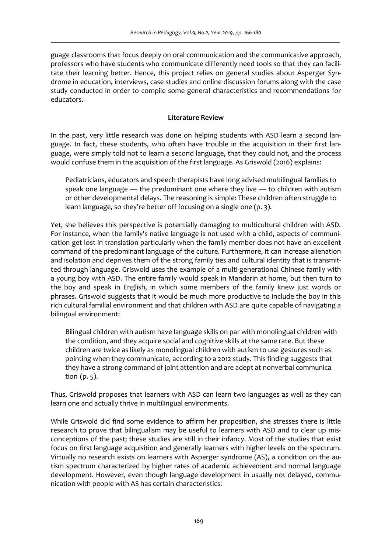guage classrooms that focus deeply on oral communication and the communicative approach, professors who have students who communicate differently need tools so that they can facilitate their learning better. Hence, this project relies on general studies about Asperger Syndrome in education, interviews, case studies and online discussion forums along with the case study conducted in order to compile some general characteristics and recommendations for educators.

### **Literature Review**

In the past, very little research was done on helping students with ASD learn a second language. In fact, these students, who often have trouble in the acquisition in their first language, were simply told not to learn a second language, that they could not, and the process would confuse them in the acquisition of the first language. As Griswold (2016) explains:

Pediatricians, educators and speech therapists have long advised multilingual families to speak one language — the predominant one where they live — to children with autism or other developmental delays. The reasoning is simple: These children often struggle to learn language, so they're better off focusing on a single one (p. 3).

Yet, she believes this perspective is potentially damaging to multicultural children with ASD. For instance, when the family's native language is not used with a child, aspects of communication get lost in translation particularly when the family member does not have an excellent command of the predominant language of the culture. Furthermore, it can increase alienation and isolation and deprives them of the strong family ties and cultural identity that is transmitted through language. Griswold uses the example of a multi-generational Chinese family with a young boy with ASD. The entire family would speak in Mandarin at home, but then turn to the boy and speak in English, in which some members of the family knew just words or phrases. Griswold suggests that it would be much more productive to include the boy in this rich cultural familial environment and that children with ASD are quite capable of navigating a bilingual environment:

Bilingual children with autism have language skills on par with monolingual children with the condition, and they acquire social and cognitive skills at the same rate. But these children are twice as likely as monolingual children with autism to use gestures such as pointing when they communicate, according to a 2012 study. This finding suggests that they have a strong command of joint attention and are adept at nonverbal communica tion (p. 5).

Thus, Griswold proposes that learners with ASD can learn two languages as well as they can learn one and actually thrive in multilingual environments.

While Griswold did find some evidence to affirm her proposition, she stresses there is little research to prove that bilingualism may be useful to learners with ASD and to clear up misconceptions of the past; these studies are still in their infancy. Most of the studies that exist focus on first language acquisition and generally learners with higher levels on the spectrum. Virtually no research exists on learners with Asperger syndrome (AS), a condition on the autism spectrum characterized by higher rates of academic achievement and normal language development. However, even though language development in usually not delayed, communication with people with AS has certain characteristics: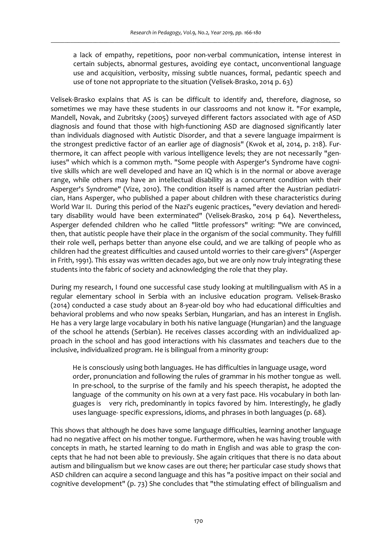a lack of empathy, repetitions, poor non-verbal communication, intense interest in certain subjects, abnormal gestures, avoiding eye contact, unconventional language use and acquisition, verbosity, missing subtle nuances, formal, pedantic speech and use of tone not appropriate to the situation (Velisek-Brasko, 2014 p. 63)

Velisek-Brasko explains that AS is can be difficult to identify and, therefore, diagnose, so sometimes we may have these students in our classrooms and not know it. "For example, Mandell, Novak, and Zubritsky (2005) surveyed different factors associated with age of ASD diagnosis and found that those with high-functioning ASD are diagnosed significantly later than individuals diagnosed with Autistic Disorder, and that a severe language impairment is the strongest predictive factor of an earlier age of diagnosis" (Kwok et al, 2014, p. 218). Furthermore, it can affect people with various intelligence levels; they are not necessarily "geniuses" which which is a common myth. "Some people with Asperger's Syndrome have cognitive skills which are well developed and have an IQ which is in the normal or above average range, while others may have an intellectual disability as a concurrent condition with their Asperger's Syndrome" (Vize, 2010). The condition itself is named after the Austrian pediatrician, Hans Asperger, who published a paper about children with these characteristics during World War II. During this period of the Nazi's eugenic practices, "every deviation and hereditary disability would have been exterminated" (Velisek-Brasko, 2014 p 64). Nevertheless, Asperger defended children who he called "little professors" writing: "We are convinced, then, that autistic people have their place in the organism of the social community. They fulfill their role well, perhaps better than anyone else could, and we are talking of people who as children had the greatest difficulties and caused untold worries to their care-givers" (Asperger in Frith, 1991). This essay was written decades ago, but we are only now truly integrating these students into the fabric of society and acknowledging the role that they play.

During my research, I found one successful case study looking at multilingualism with AS in a regular elementary school in Serbia with an inclusive education program. Velisek-Brasko (2014) conducted a case study about an 8-year-old boy who had educational difficulties and behavioral problems and who now speaks Serbian, Hungarian, and has an interest in English. He has a very large large vocabulary in both his native language (Hungarian) and the language of the school he attends (Serbian). He receives classes according with an individualized approach in the school and has good interactions with his classmates and teachers due to the inclusive, individualized program. He is bilingual from a minority group:

 He is consciously using both languages. He has difficulties in language usage, word order, pronunciation and following the rules of grammar in his mother tongue as well. In pre-school, to the surprise of the family and his speech therapist, he adopted the language of the community on his own at a very fast pace. His vocabulary in both languages is very rich, predominantly in topics favored by him. Interestingly, he gladly uses language- specific expressions, idioms, and phrases in both languages (p. 68).

This shows that although he does have some language difficulties, learning another language had no negative affect on his mother tongue. Furthermore, when he was having trouble with concepts in math, he started learning to do math in English and was able to grasp the concepts that he had not been able to previously. She again critiques that there is no data about autism and bilingualism but we know cases are out there; her particular case study shows that ASD children can acquire a second language and this has "a positive impact on their social and cognitive development" (p. 73) She concludes that "the stimulating effect of bilingualism and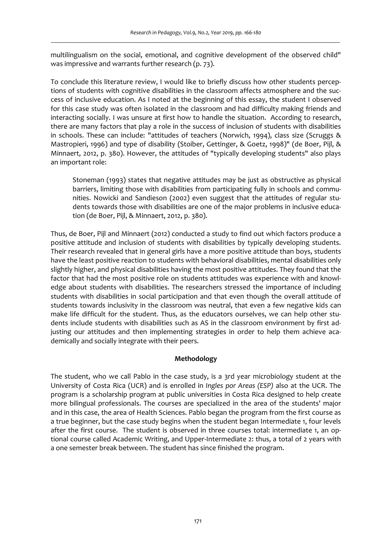multilingualism on the social, emotional, and cognitive development of the observed child" was impressive and warrants further research (p. 73).

To conclude this literature review, I would like to briefly discuss how other students perceptions of students with cognitive disabilities in the classroom affects atmosphere and the success of inclusive education. As I noted at the beginning of this essay, the student I observed for this case study was often isolated in the classroom and had difficulty making friends and interacting socially. I was unsure at first how to handle the situation. According to research, there are many factors that play a role in the success of inclusion of students with disabilities in schools. These can include: "attitudes of teachers (Norwich, 1994), class size (Scruggs & Mastropieri, 1996) and type of disability (Stoiber, Gettinger, & Goetz, 1998)" (de Boer, Pijl, & Minnaert, 2012, p. 380). However, the attitudes of "typically developing students" also plays an important role:

 Stoneman (1993) states that negative attitudes may be just as obstructive as physical barriers, limiting those with disabilities from participating fully in schools and communities. Nowicki and Sandieson (2002) even suggest that the attitudes of regular students towards those with disabilities are one of the major problems in inclusive education (de Boer, Pijl, & Minnaert, 2012, p. 380).

Thus, de Boer, Pijl and Minnaert (2012) conducted a study to find out which factors produce a positive attitude and inclusion of students with disabilities by typically developing students. Their research revealed that in general girls have a more positive attitude than boys, students have the least positive reaction to students with behavioral disabilities, mental disabilities only slightly higher, and physical disabilities having the most positive attitudes. They found that the factor that had the most positive role on students attitudes was experience with and knowledge about students with disabilities. The researchers stressed the importance of including students with disabilities in social participation and that even though the overall attitude of students towards inclusivity in the classroom was neutral, that even a few negative kids can make life difficult for the student. Thus, as the educators ourselves, we can help other students include students with disabilities such as AS in the classroom environment by first adjusting our attitudes and then implementing strategies in order to help them achieve academically and socially integrate with their peers.

# **Methodology**

The student, who we call Pablo in the case study, is a 3rd year microbiology student at the University of Costa Rica (UCR) and is enrolled in *Ingles por Areas (ESP)* also at the UCR. The program is a scholarship program at public universities in Costa Rica designed to help create more bilingual professionals. The courses are specialized in the area of the students' major and in this case, the area of Health Sciences. Pablo began the program from the first course as a true beginner, but the case study begins when the student began Intermediate 1, four levels after the first course. The student is observed in three courses total: intermediate 1, an optional course called Academic Writing, and Upper-Intermediate 2: thus, a total of 2 years with a one semester break between. The student has since finished the program.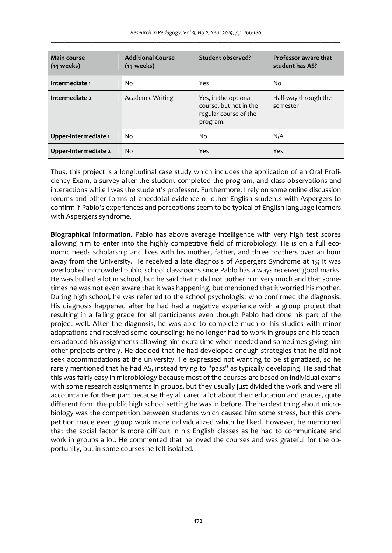| Main course<br>$(14$ weeks) | <b>Additional Course</b><br>(14 weeks) | Student observed?                                                                   | Professor aware that<br>student has AS? |
|-----------------------------|----------------------------------------|-------------------------------------------------------------------------------------|-----------------------------------------|
| Intermediate 1              | No                                     | Yes                                                                                 | No                                      |
| Intermediate 2              | Academic Writing                       | Yes, in the optional<br>course, but not in the<br>regular course of the<br>program. | Half-way through the<br>semester        |
| Upper-Intermediate 1        | No                                     | No                                                                                  | N/A                                     |
| Upper-Intermediate 2        | N <sub>o</sub>                         | Yes                                                                                 | Yes                                     |

Thus, this project is a longitudinal case study which includes the application of an Oral Proficiency Exam, a survey after the student completed the program, and class observations and interactions while I was the student's professor. Furthermore, I rely on some online discussion forums and other forms of anecdotal evidence of other English students with Aspergers to confirm if Pablo's experiences and perceptions seem to be typical of English language learners with Aspergers syndrome.

**Biographical information.** Pablo has above average intelligence with very high test scores allowing him to enter into the highly competitive field of microbiology. He is on a full economic needs scholarship and lives with his mother, father, and three brothers over an hour away from the University. He received a late diagnosis of Aspergers Syndrome at 15; it was overlooked in crowded public school classrooms since Pablo has always received good marks. He was bullied a lot in school, but he said that it did not bother him very much and that sometimes he was not even aware that it was happening, but mentioned that it worried his mother. During high school, he was referred to the school psychologist who confirmed the diagnosis. His diagnosis happened after he had had a negative experience with a group project that resulting in a failing grade for all participants even though Pablo had done his part of the project well. After the diagnosis, he was able to complete much of his studies with minor adaptations and received some counseling; he no longer had to work in groups and his teachers adapted his assignments allowing him extra time when needed and sometimes giving him other projects entirely. He decided that he had developed enough strategies that he did not seek accommodations at the university. He expressed not wanting to be stigmatized, so he rarely mentioned that he had AS, instead trying to "pass" as typically developing. He said that this was fairly easy in microbiology because most of the courses are based on individual exams with some research assignments in groups, but they usually just divided the work and were all accountable for their part because they all cared a lot about their education and grades, quite different form the public high school setting he was in before. The hardest thing about microbiology was the competition between students which caused him some stress, but this competition made even group work more individualized which he liked. However, he mentioned that the social factor is more difficult in his English classes as he had to communicate and work in groups a lot. He commented that he loved the courses and was grateful for the opportunity, but in some courses he felt isolated.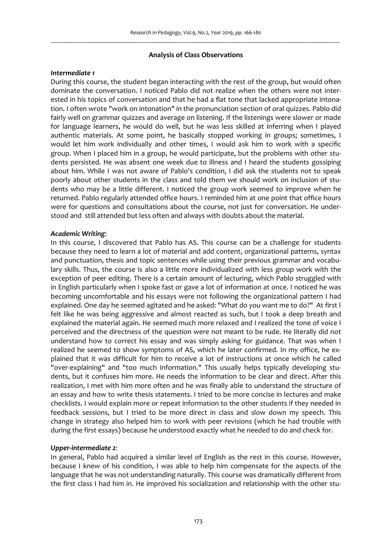#### **Analysis of Class Observations**

#### *Intermediate 1*

During this course, the student began interacting with the rest of the group, but would often dominate the conversation. I noticed Pablo did not realize when the others were not interested in his topics of conversation and that he had a flat tone that lacked appropriate intonation. I often wrote "work on intonation" in the pronunciation section of oral quizzes. Pablo did fairly well on grammar quizzes and average on listening. If the listenings were slower or made for language learners, he would do well, but he was less skilled at inferring when I played authentic materials. At some point, he basically stopped working in groups; sometimes, I would let him work individually and other times, I would ask him to work with a specific group. When I placed him in a group, he would participate, but the problems with other students persisted. He was absent one week due to illness and I heard the students gossiping about him. While I was not aware of Pablo's condition, I did ask the students not to speak poorly about other students in the class and told them we should work on inclusion of students who may be a little different. I noticed the group work seemed to improve when he returned. Pablo regularly attended office hours. I reminded him at one point that office hours were for questions and consultations about the course, not just for conversation. He understood and still attended but less often and always with doubts about the material.

#### *Academic Writing*:

In this course, I discovered that Pablo has AS. This course can be a challenge for students because they need to learn a lot of material and add content, organizational patterns, syntax and punctuation, thesis and topic sentences while using their previous grammar and vocabulary skills. Thus, the course is also a little more individualized with less group work with the exception of peer editing. There is a certain amount of lecturing, which Pablo struggled with in English particularly when I spoke fast or gave a lot of information at once. I noticed he was becoming uncomfortable and his essays were not following the organizational pattern I had explained. One day he seemed agitated and he asked: "What do you want me to do?" At first I felt like he was being aggressive and almost reacted as such, but I took a deep breath and explained the material again. He seemed much more relaxed and I realized the tone of voice I perceived and the directness of the question were not meant to be rude. He literally did not understand how to correct his essay and was simply asking for guidance. That was when I realized he seemed to show symptoms of AS, which he later confirmed. In my office, he explained that it was difficult for him to receive a lot of instructions at once which he called "over-explaining" and "too much information." This usually helps typically developing students, but it confuses him more. He needs the information to be clear and direct. After this realization, I met with him more often and he was finally able to understand the structure of an essay and how to write thesis statements. I tried to be more concise in lectures and make checklists. I would explain more or repeat information to the other students if they needed in feedback sessions, but I tried to be more direct in class and slow down my speech. This change in strategy also helped him to work with peer revisions (which he had trouble with during the first essays) because he understood exactly what he needed to do and check for.

### *Upper-intermediate 2*:

In general, Pablo had acquired a similar level of English as the rest in this course. However, because I knew of his condition, I was able to help him compensate for the aspects of the language that he was not understanding naturally. This course was dramatically different from the first class I had him in. He improved his socialization and relationship with the other stu-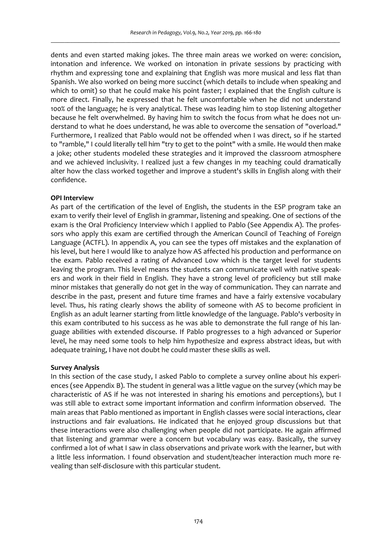dents and even started making jokes. The three main areas we worked on were: concision, intonation and inference. We worked on intonation in private sessions by practicing with rhythm and expressing tone and explaining that English was more musical and less flat than Spanish. We also worked on being more succinct (which details to include when speaking and which to omit) so that he could make his point faster; I explained that the English culture is more direct. Finally, he expressed that he felt uncomfortable when he did not understand 100% of the language; he is very analytical. These was leading him to stop listening altogether because he felt overwhelmed. By having him to switch the focus from what he does not understand to what he does understand, he was able to overcome the sensation of "overload." Furthermore, I realized that Pablo would not be offended when I was direct, so if he started to "ramble," I could literally tell him "try to get to the point" with a smile. He would then make a joke; other students modeled these strategies and it improved the classroom atmosphere and we achieved inclusivity. I realized just a few changes in my teaching could dramatically alter how the class worked together and improve a student's skills in English along with their confidence.

#### **OPI Interview**

As part of the certification of the level of English, the students in the ESP program take an exam to verify their level of English in grammar, listening and speaking. One of sections of the exam is the Oral Proficiency Interview which I applied to Pablo (See Appendix A). The professors who apply this exam are certified through the American Council of Teaching of Foreign Language (ACTFL). In appendix A, you can see the types off mistakes and the explanation of his level, but here I would like to analyze how AS affected his production and performance on the exam. Pablo received a rating of Advanced Low which is the target level for students leaving the program. This level means the students can communicate well with native speakers and work in their field in English. They have a strong level of proficiency but still make minor mistakes that generally do not get in the way of communication. They can narrate and describe in the past, present and future time frames and have a fairly extensive vocabulary level. Thus, his rating clearly shows the ability of someone with AS to become proficient in English as an adult learner starting from little knowledge of the language. Pablo's verbosity in this exam contributed to his success as he was able to demonstrate the full range of his language abilities with extended discourse. If Pablo progresses to a high advanced or Superior level, he may need some tools to help him hypothesize and express abstract ideas, but with adequate training, I have not doubt he could master these skills as well.

#### **Survey Analysis**

In this section of the case study, I asked Pablo to complete a survey online about his experiences (see Appendix B). The student in general was a little vague on the survey (which may be characteristic of AS if he was not interested in sharing his emotions and perceptions), but I was still able to extract some important information and confirm information observed. The main areas that Pablo mentioned as important in English classes were social interactions, clear instructions and fair evaluations. He indicated that he enjoyed group discussions but that these interactions were also challenging when people did not participate. He again affirmed that listening and grammar were a concern but vocabulary was easy. Basically, the survey confirmed a lot of what I saw in class observations and private work with the learner, but with a little less information. I found observation and student/teacher interaction much more revealing than self-disclosure with this particular student.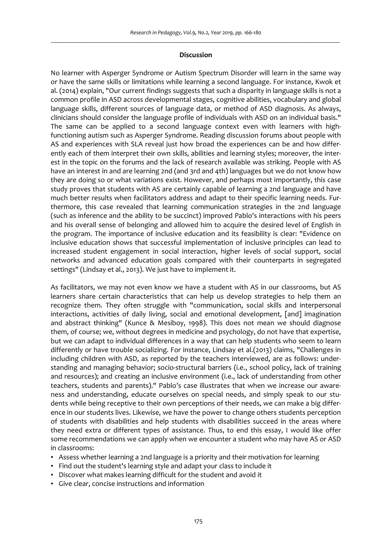### **Discussion**

No learner with Asperger Syndrome or Autism Spectrum Disorder will learn in the same way or have the same skills or limitations while learning a second language. For instance, Kwok et al. (2014) explain, "Our current findings suggests that such a disparity in language skills is not a common profile in ASD across developmental stages, cognitive abilities, vocabulary and global language skills, different sources of language data, or method of ASD diagnosis. As always, clinicians should consider the language profile of individuals with ASD on an individual basis." The same can be applied to a second language context even with learners with highfunctioning autism such as Asperger Syndrome. Reading discussion forums about people with AS and experiences with SLA reveal just how broad the experiences can be and how differently each of them interpret their own skills, abilities and learning styles; moreover, the interest in the topic on the forums and the lack of research available was striking. People with AS have an interest in and are learning 2nd (and 3rd and 4th) languages but we do not know how they are doing so or what variations exist. However, and perhaps most importantly, this case study proves that students with AS are certainly capable of learning a 2nd language and have much better results when facilitators address and adapt to their specific learning needs. Furthermore, this case revealed that learning communication strategies in the 2nd language (such as inference and the ability to be succinct) improved Pablo's interactions with his peers and his overall sense of belonging and allowed him to acquire the desired level of English in the program. The importance of inclusive education and its feasibility is clear: "Evidence on inclusive education shows that successful implementation of inclusive principles can lead to increased student engagement in social interaction, higher levels of social support, social networks and advanced education goals compared with their counterparts in segregated settings" (Lindsay et al., 2013). We just have to implement it.

As facilitators, we may not even know we have a student with AS in our classrooms, but AS learners share certain characteristics that can help us develop strategies to help them an recognize them. They often struggle with "communication, social skills and interpersonal interactions, activities of daily living, social and emotional development, [and] imagination and abstract thinking" (Kunce & Mesiboy, 1998). This does not mean we should diagnose them, of course; we, without degrees in medicine and psychology, do not have that expertise, but we can adapt to individual differences in a way that can help students who seem to learn differently or have trouble socializing. For instance, Lindsay et al.(2013) claims, "Challenges in including children with ASD, as reported by the teachers interviewed, are as follows: understanding and managing behavior; socio-structural barriers (i.e., school policy, lack of training and resources); and creating an inclusive environment (i.e., lack of understanding from other teachers, students and parents)." Pablo's case illustrates that when we increase our awareness and understanding, educate ourselves on special needs, and simply speak to our students while being receptive to their own perceptions of their needs, we can make a big difference in our students lives. Likewise, we have the power to change others students perception of students with disabilities and help students with disabilities succeed in the areas where they need extra or different types of assistance. Thus, to end this essay, I would like offer some recommendations we can apply when we encounter a student who may have AS or ASD in classrooms:

- Assess whether learning a 2nd language is a priority and their motivation for learning
- Find out the student's learning style and adapt your class to include it
- Discover what makes learning difficult for the student and avoid it
- Give clear, concise instructions and information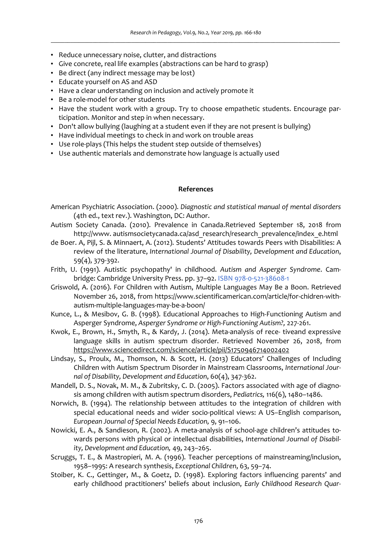- Reduce unnecessary noise, clutter, and distractions
- Give concrete, real life examples (abstractions can be hard to grasp)
- Be direct (any indirect message may be lost)
- Educate yourself on AS and ASD
- Have a clear understanding on inclusion and actively promote it
- Be a role-model for other students
- Have the student work with a group. Try to choose empathetic students. Encourage participation. Monitor and step in when necessary.
- Don't allow bullying (laughing at a student even if they are not present is bullying)
- Have individual meetings to check in and work on trouble areas
- Use role-plays (This helps the student step outside of themselves)
- Use authentic materials and demonstrate how language is actually used

### **References**

- American Psychiatric Association. (2000). *Diagnostic and statistical manual of mental disorders*  (4th ed., text rev.). Washington, DC: Author.
- Autism Society Canada. (2010). Prevalence in Canada.Retrieved September 18, 2018 from http://www. autismsocietycanada.ca/asd\_research/research\_prevalence/index\_e.html
- de Boer. A, Pijl, S. & Minnaert, A. (2012). Students' Attitudes towards Peers with Disabilities: A review of the literature, *International Journal of Disability, Development and Education*, 59(4), 379-392.
- Frith, U. (1991). Autistic psychopathy' in childhood. *Autism and Asperger Syndrome*. Cambridge: Cambridge University Press. pp. 37–92. ISBN 978-0-521-38608-1
- Griswold, A. (2016). For Children with Autism, Multiple Languages May Be a Boon. Retrieved November 26, 2018, from https://www.scientificamerican.com/article/for-chidren-withautism-multiple-languages-may-be-a-boon/
- Kunce, L., & Mesibov, G. B. (1998). Educational Approaches to High-Functioning Autism and Asperger Syndrome, *Asperger Syndrome or High-Functioning Autism?,* 227-261.
- Kwok, E., Brown, H., Smyth, R., & Kardy, J. (2014). Meta-analysis of rece- tiveand expressive language skills in autism spectrum disorder. Retrieved November 26, 2018, from https://www.sciencedirect.com/science/article/pii/S1750946714002402
- Lindsay, S., Proulx, M., Thomson, N. & Scott, H. (2013) Educators' Challenges of Including Children with Autism Spectrum Disorder in Mainstream Classrooms, *International Journal of Disability, Development and Education*, 60(4), 347-362.
- Mandell, D. S., Novak, M. M., & Zubritsky, C. D. (2005). Factors associated with age of diagnosis among children with autism spectrum disorders, *Pediatrics,* 116(6), 1480–1486.
- Norwich, B. (1994). The relationship between attitudes to the integration of children with special educational needs and wider socio-political views: A US–English comparison, *European Journal of Special Needs Education,* 9, 91–106.
- Nowicki, E. A., & Sandieson, R. (2002). A meta-analysis of school-age children's attitudes towards persons with physical or intellectual disabilities, *International Journal of Disability, Development and Education,* 49, 243–265.
- Scruggs, T. E., & Mastropieri, M. A. (1996). Teacher perceptions of mainstreaming/inclusion, 1958–1995: A research synthesis, *Exceptional Children*, 63, 59–74.
- Stoiber, K. C., Gettinger, M., & Goetz, D. (1998). Exploring factors influencing parents' and early childhood practitioners' beliefs about inclusion, *Early Childhood Research Quar-*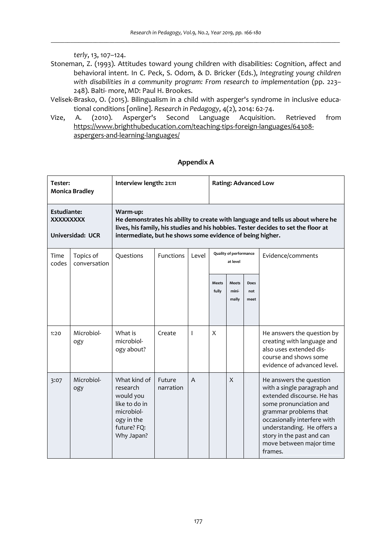*terly*, 13, 107–124.

- Stoneman, Z. (1993). Attitudes toward young children with disabilities: Cognition, affect and behavioral intent. In C. Peck, S. Odom, & D. Bricker (Eds.), *Integrating young children with disabilities in a community program: From research to implementation* (pp. 223– 248). Balti- more, MD: Paul H. Brookes.
- Velisek-Brasko, O. (2015). Bilingualism in a child with asperger's syndrome in inclusive educational conditions [online]. *Research in Pedagogy*, 4(2), 2014: 62-74.<br>A. (2010). Asperger's Second Language Acquisition.
- Vize, A. (2010). Asperger's Second Language Acquisition. Retrieved from https://www.brighthubeducation.com/teaching-tips-foreign-languages/64308 aspergers-and-learning-languages/

## **Appendix A**

| Tester:<br><b>Monica Bradley</b>       |                           | Interview length: 21:11                                                                                                                                                                                                                        |                     |       | <b>Rating: Advanced Low</b>               |                                |                     |                                                                                                                                                                                                                                                                         |
|----------------------------------------|---------------------------|------------------------------------------------------------------------------------------------------------------------------------------------------------------------------------------------------------------------------------------------|---------------------|-------|-------------------------------------------|--------------------------------|---------------------|-------------------------------------------------------------------------------------------------------------------------------------------------------------------------------------------------------------------------------------------------------------------------|
| <b>Estudiante:</b><br><b>XXXXXXXXX</b> | Universidad: UCR          | Warm-up:<br>He demonstrates his ability to create with language and tells us about where he<br>lives, his family, his studies and his hobbies. Tester decides to set the floor at<br>intermediate, but he shows some evidence of being higher. |                     |       |                                           |                                |                     |                                                                                                                                                                                                                                                                         |
| Time<br>codes                          | Topics of<br>conversation | Questions                                                                                                                                                                                                                                      | <b>Functions</b>    | Level | <b>Quality of performance</b><br>at level |                                |                     | Evidence/comments                                                                                                                                                                                                                                                       |
|                                        |                           |                                                                                                                                                                                                                                                |                     |       | <b>Meets</b><br>fully                     | <b>Meets</b><br>mini-<br>mally | Does<br>not<br>meet |                                                                                                                                                                                                                                                                         |
| 1:20                                   | Microbiol-<br>ogy         | What is<br>microbiol-<br>ogy about?                                                                                                                                                                                                            | Create              | T     | X                                         |                                |                     | He answers the question by<br>creating with language and<br>also uses extended dis-<br>course and shows some<br>evidence of advanced level.                                                                                                                             |
| 3:07                                   | Microbiol-<br>ogy         | What kind of<br>research<br>would you<br>like to do in<br>microbiol-<br>ogy in the<br>future? FQ:<br>Why Japan?                                                                                                                                | Future<br>narration | A     |                                           | X                              |                     | He answers the question<br>with a single paragraph and<br>extended discourse. He has<br>some pronunciation and<br>grammar problems that<br>occasionally interfere with<br>understanding. He offers a<br>story in the past and can<br>move between major time<br>frames. |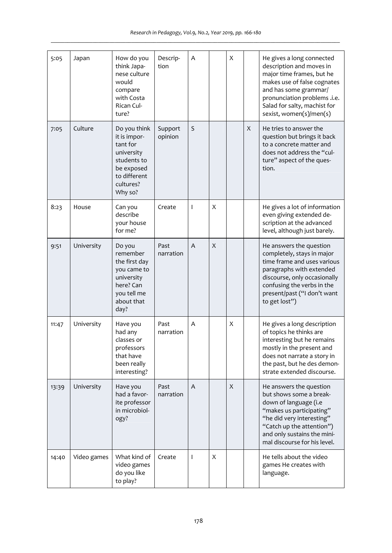| 5:05  | Japan       | How do you<br>think Japa-<br>nese culture<br>would<br>compare<br>with Costa<br>Rican Cul-<br>ture?                          | Descrip-<br>tion   | Α |   | X |   | He gives a long connected<br>description and moves in<br>major time frames, but he<br>makes use of false cognates<br>and has some grammar/<br>pronunciation problems .i.e.<br>Salad for salty, machist for<br>sexist, women(s)/men(s) |
|-------|-------------|-----------------------------------------------------------------------------------------------------------------------------|--------------------|---|---|---|---|---------------------------------------------------------------------------------------------------------------------------------------------------------------------------------------------------------------------------------------|
| 7:05  | Culture     | Do you think<br>it is impor-<br>tant for<br>university<br>students to<br>be exposed<br>to different<br>cultures?<br>Why so? | Support<br>opinion | S |   |   | X | He tries to answer the<br>question but brings it back<br>to a concrete matter and<br>does not address the "cul-<br>ture" aspect of the ques-<br>tion.                                                                                 |
| 8:23  | House       | Can you<br>describe<br>your house<br>for me?                                                                                | Create             | T | X |   |   | He gives a lot of information<br>even giving extended de-<br>scription at the advanced<br>level, although just barely.                                                                                                                |
| 9:51  | University  | Do you<br>remember<br>the first day<br>you came to<br>university<br>here? Can<br>you tell me<br>about that<br>day?          | Past<br>narration  | A | X |   |   | He answers the question<br>completely, stays in major<br>time frame and uses various<br>paragraphs with extended<br>discourse, only occasionally<br>confusing the verbs in the<br>present/past ("I don't want<br>to get lost")        |
| 11:47 | University  | Have you<br>had any<br>classes or<br>professors<br>that have<br>been really<br>interesting?                                 | Past<br>narration  | A |   | X |   | He gives a long description<br>of topics he thinks are<br>interesting but he remains<br>mostly in the present and<br>does not narrate a story in<br>the past, but he des demon-<br>strate extended discourse.                         |
| 13:39 | University  | Have you<br>had a favor-<br>ite professor<br>in microbiol-<br>ogy?                                                          | Past<br>narration  | A |   | X |   | He answers the question<br>but shows some a break-<br>down of language (i.e<br>"makes us participating"<br>"he did very interesting"<br>"Catch up the attention")<br>and only sustains the mini-<br>mal discourse for his level.      |
| 14:40 | Video games | What kind of<br>video games<br>do you like<br>to play?                                                                      | Create             | T | X |   |   | He tells about the video<br>games He creates with<br>language.                                                                                                                                                                        |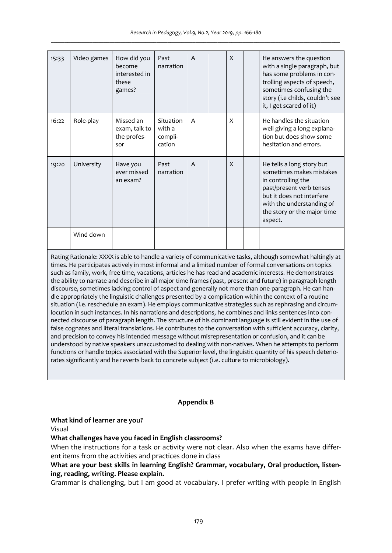| 15:33 | Video games | How did you<br>become<br>interested in<br>these<br>games? | Past<br>narration                        | A              | $\boldsymbol{\mathsf{X}}$ | He answers the question<br>with a single paragraph, but<br>has some problems in con-<br>trolling aspects of speech,<br>sometimes confusing the<br>story (i.e childs, couldn't see<br>it, I get scared of it) |
|-------|-------------|-----------------------------------------------------------|------------------------------------------|----------------|---------------------------|--------------------------------------------------------------------------------------------------------------------------------------------------------------------------------------------------------------|
| 16:22 | Role-play   | Missed an<br>exam, talk to<br>the profes-<br>sor          | Situation<br>with a<br>compli-<br>cation | $\overline{A}$ | X                         | He handles the situation<br>well giving a long explana-<br>tion but does show some<br>hesitation and errors.                                                                                                 |
| 19:20 | University  | Have you<br>ever missed<br>an exam?                       | Past<br>narration                        | A              | $\mathsf{x}$              | He tells a long story but<br>sometimes makes mistakes<br>in controlling the<br>past/present verb tenses<br>but it does not interfere<br>with the understanding of<br>the story or the major time<br>aspect.  |
|       | Wind down   |                                                           |                                          |                |                           |                                                                                                                                                                                                              |

Rating Rationale: XXXX is able to handle a variety of communicative tasks, although somewhat haltingly at times. He participates actively in most informal and a limited number of formal conversations on topics such as family, work, free time, vacations, articles he has read and academic interests. He demonstrates the ability to narrate and describe in all major time frames (past, present and future) in paragraph length discourse, sometimes lacking control of aspect and generally not more than one-paragraph. He can handle appropriately the linguistic challenges presented by a complication within the context of a routine situation (i.e. reschedule an exam). He employs communicative strategies such as rephrasing and circumlocution in such instances. In his narrations and descriptions, he combines and links sentences into connected discourse of paragraph length. The structure of his dominant language is still evident in the use of false cognates and literal translations. He contributes to the conversation with sufficient accuracy, clarity, and precision to convey his intended message without misrepresentation or confusion, and it can be understood by native speakers unaccustomed to dealing with non-natives. When he attempts to perform functions or handle topics associated with the Superior level, the linguistic quantity of his speech deteriorates significantly and he reverts back to concrete subject (i.e. culture to microbiology).

# **Appendix B**

### **What kind of learner are you?**

Visual

# **What challenges have you faced in English classrooms?**

When the instructions for a task or activity were not clear. Also when the exams have different items from the activities and practices done in class

# **What are your best skills in learning English? Grammar, vocabulary, Oral production, listening, reading, writing. Please explain.**

Grammar is challenging, but I am good at vocabulary. I prefer writing with people in English